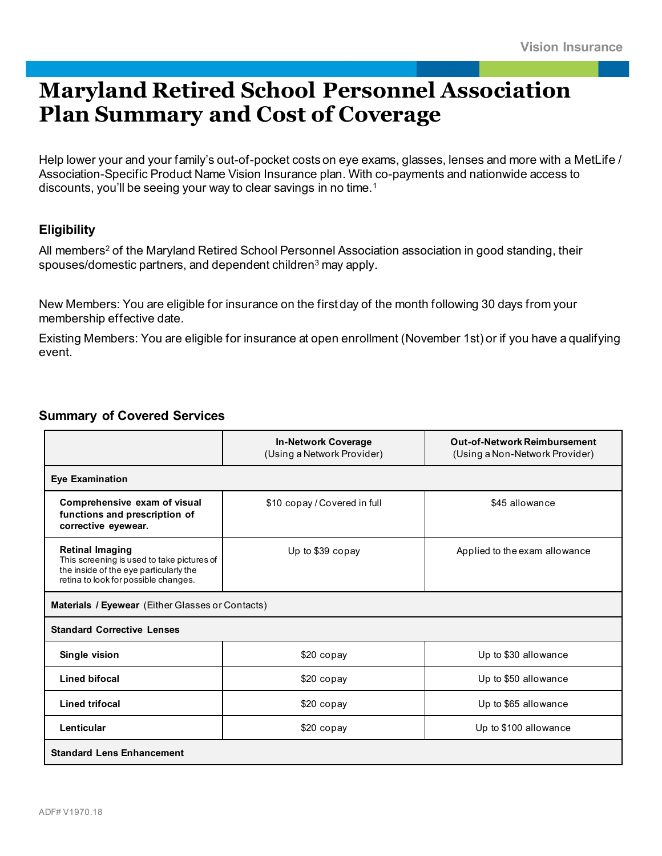## **Maryland Retired School Personnel Association Plan Summary and Cost of Coverage**

Help lower your and your family's out-of-pocket costs on eye exams, glasses, lenses and more with a MetLife / Association-Specific Product Name Vision Insurance plan. With co-payments and nationwide access to discounts, you'll be seeing your way to clear savings in no time.<sup>1</sup>

## **Eligibility**

All members<sup>2</sup> of the Maryland Retired School Personnel Association association in good standing, their spouses/domestic partners, and dependent children<sup>3</sup> may apply.

New Members: You are eligible for insurance on the first day of the month following 30 days from your membership effective date.

Existing Members: You are eligible for insurance at open enrollment (November 1st) or if you have a qualifying event.

## **Summary of Covered Services**

|                                                                                                                                                        | <b>In-Network Coverage</b><br>(Using a Network Provider) | <b>Out-of-Network Reimbursement</b><br>(Using a Non-Network Provider) |  |  |
|--------------------------------------------------------------------------------------------------------------------------------------------------------|----------------------------------------------------------|-----------------------------------------------------------------------|--|--|
| <b>Eye Examination</b>                                                                                                                                 |                                                          |                                                                       |  |  |
| Comprehensive exam of visual<br>functions and prescription of<br>corrective eyewear.                                                                   | \$10 copay / Covered in full<br>\$45 allowance           |                                                                       |  |  |
| <b>Retinal Imaging</b><br>This screening is used to take pictures of<br>the inside of the eye particularly the<br>retina to look for possible changes. | Up to \$39 copay                                         | Applied to the exam allowance                                         |  |  |
| <b>Materials / Eyewear</b> (Either Glasses or Contacts)                                                                                                |                                                          |                                                                       |  |  |
| <b>Standard Corrective Lenses</b>                                                                                                                      |                                                          |                                                                       |  |  |
| Single vision                                                                                                                                          | \$20 copay                                               | Up to \$30 allowance                                                  |  |  |
| <b>Lined bifocal</b>                                                                                                                                   | \$20 copay                                               | Up to \$50 allowance                                                  |  |  |
| <b>Lined trifocal</b>                                                                                                                                  | $$20$ copay                                              | Up to \$65 allowance                                                  |  |  |
| Lenticular                                                                                                                                             | \$20 copay                                               | Up to \$100 allowance                                                 |  |  |
| <b>Standard Lens Enhancement</b>                                                                                                                       |                                                          |                                                                       |  |  |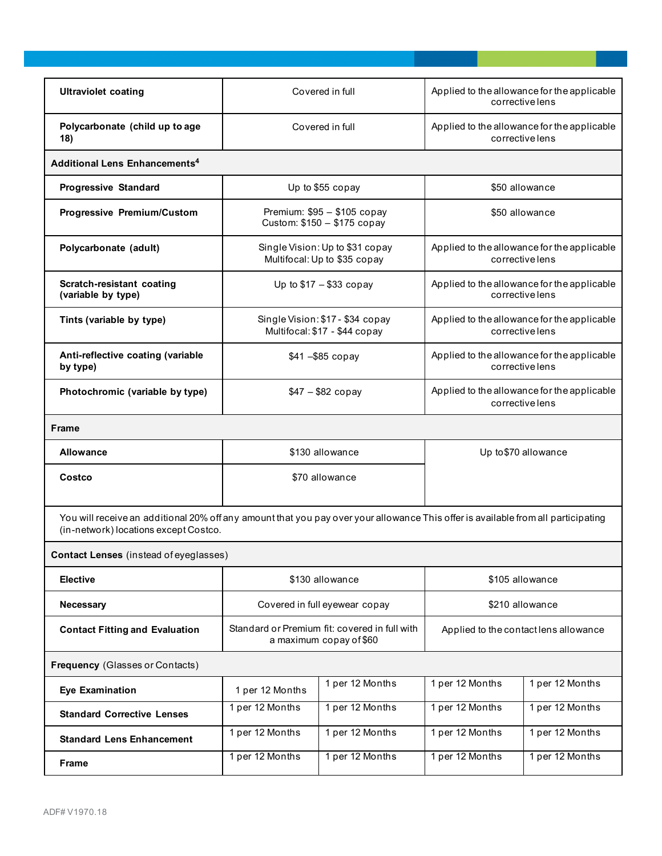| <b>Ultraviolet coating</b>                                                                                                                                                 |                                                                              | Covered in full | Applied to the allowance for the applicable<br>corrective lens |                 |  |
|----------------------------------------------------------------------------------------------------------------------------------------------------------------------------|------------------------------------------------------------------------------|-----------------|----------------------------------------------------------------|-----------------|--|
| Polycarbonate (child up to age<br>18)                                                                                                                                      | Covered in full                                                              |                 | Applied to the allowance for the applicable<br>corrective lens |                 |  |
| <b>Additional Lens Enhancements<sup>4</sup></b>                                                                                                                            |                                                                              |                 |                                                                |                 |  |
| <b>Progressive Standard</b>                                                                                                                                                | \$50 allowance<br>Up to \$55 copay                                           |                 |                                                                |                 |  |
| <b>Progressive Premium/Custom</b>                                                                                                                                          | Premium: \$95 - \$105 copay<br>\$50 allowance<br>Custom: \$150 - \$175 copay |                 |                                                                |                 |  |
| Polycarbonate (adult)                                                                                                                                                      | Single Vision: Up to \$31 copay<br>Multifocal: Up to \$35 copay              |                 | Applied to the allowance for the applicable<br>corrective lens |                 |  |
| Scratch-resistant coating<br>(variable by type)                                                                                                                            | Up to $$17 - $33$ copay                                                      |                 | Applied to the allowance for the applicable<br>corrective lens |                 |  |
| Tints (variable by type)                                                                                                                                                   | Single Vision: \$17 - \$34 copay<br>Multifocal: \$17 - \$44 copay            |                 | Applied to the allowance for the applicable<br>corrective lens |                 |  |
| Anti-reflective coating (variable<br>by type)                                                                                                                              | \$41-\$85 copay                                                              |                 | Applied to the allowance for the applicable<br>corrective lens |                 |  |
| Photochromic (variable by type)                                                                                                                                            | $$47 - $82$ copay                                                            |                 | Applied to the allowance for the applicable<br>corrective lens |                 |  |
| Frame                                                                                                                                                                      |                                                                              |                 |                                                                |                 |  |
| <b>Allowance</b>                                                                                                                                                           | \$130 allowance<br>Up to \$70 allowance                                      |                 |                                                                |                 |  |
| Costco                                                                                                                                                                     | \$70 allowance                                                               |                 |                                                                |                 |  |
| You will receive an additional 20% off any amount that you pay over your allowance This offer is available from all participating<br>(in-network) locations except Costco. |                                                                              |                 |                                                                |                 |  |
| <b>Contact Lenses</b> (instead of eyeglasses)                                                                                                                              |                                                                              |                 |                                                                |                 |  |
| <b>Elective</b>                                                                                                                                                            | \$130 allowance                                                              |                 | \$105 allowance                                                |                 |  |
| Necessary                                                                                                                                                                  | Covered in full eyewear copay                                                |                 | \$210 allowance                                                |                 |  |
| <b>Contact Fitting and Evaluation</b>                                                                                                                                      | Standard or Premium fit: covered in full with<br>a maximum copay of \$60     |                 | Applied to the contact lens allowance                          |                 |  |
| Frequency (Glasses or Contacts)                                                                                                                                            |                                                                              |                 |                                                                |                 |  |
| <b>Eye Examination</b>                                                                                                                                                     | 1 per 12 Months                                                              | 1 per 12 Months | 1 per 12 Months                                                | 1 per 12 Months |  |
| <b>Standard Corrective Lenses</b>                                                                                                                                          | 1 per 12 Months                                                              | 1 per 12 Months | 1 per 12 Months                                                | 1 per 12 Months |  |
| <b>Standard Lens Enhancement</b>                                                                                                                                           | 1 per 12 Months                                                              | 1 per 12 Months | 1 per 12 Months                                                | 1 per 12 Months |  |
| <b>Frame</b>                                                                                                                                                               | 1 per 12 Months                                                              | 1 per 12 Months | 1 per 12 Months                                                | 1 per 12 Months |  |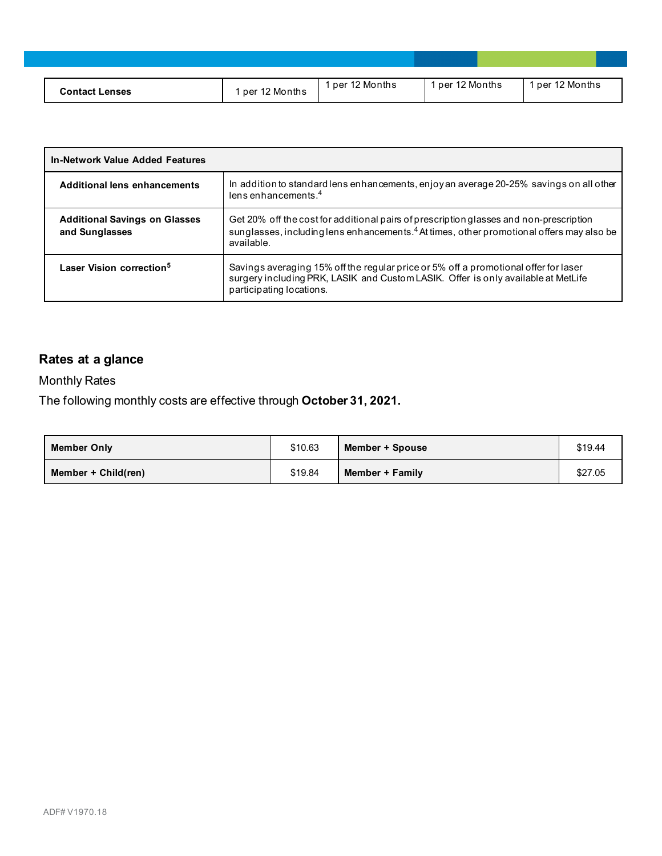| Contact I<br><b>Lenses</b> | per 12 Months | per 12 Months ' | per 12 Months | ber 12 Months ` |
|----------------------------|---------------|-----------------|---------------|-----------------|

| <b>In-Network Value Added Features</b>                 |                                                                                                                                                                                                              |
|--------------------------------------------------------|--------------------------------------------------------------------------------------------------------------------------------------------------------------------------------------------------------------|
| Additional lens enhancements                           | In addition to standard lens enhancements, enjoy an average 20-25% savings on all other<br>lens enhancements. <sup>4</sup>                                                                                   |
| <b>Additional Savings on Glasses</b><br>and Sunglasses | Get 20% off the cost for additional pairs of prescription glasses and non-prescription<br>sunglasses, including lens enhancements. <sup>4</sup> At times, other promotional offers may also be<br>available. |
| Laser Vision correction <sup>5</sup>                   | Savings averaging 15% off the regular price or 5% off a promotional offer for laser<br>surgery including PRK, LASIK and Custom LASIK. Offer is only available at MetLife<br>participating locations.         |

## **Rates at a glance**

Monthly Rates

The following monthly costs are effective through **October 31, 2021.**

| <b>Member Only</b>    | \$10.63 | Member + Spouse | \$19.44 |
|-----------------------|---------|-----------------|---------|
| Member + $Child(ren)$ | \$19.84 | Member + Family | \$27.05 |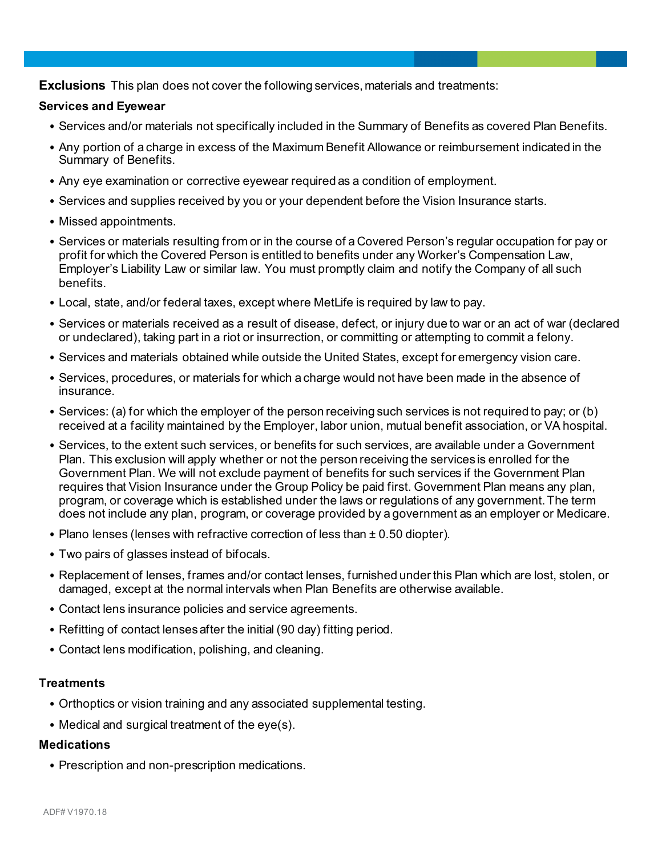**Exclusions** This plan does not cover the following services, materials and treatments:

#### **Services and Eyewear**

- Services and/or materials not specifically included in the Summary of Benefits as covered Plan Benefits.
- Any portion of a charge in excess of the Maximum Benefit Allowance or reimbursement indicated in the Summary of Benefits.
- Any eye examination or corrective eyewear required as a condition of employment.
- Services and supplies received by you or your dependent before the Vision Insurance starts.
- Missed appointments.
- Services or materials resulting from or in the course of a Covered Person's regular occupation for pay or profit for which the Covered Person is entitled to benefits under any Worker's Compensation Law, Employer's Liability Law or similar law. You must promptly claim and notify the Company of all such benefits.
- Local, state, and/or federal taxes, except where MetLife is required by law to pay.
- Services or materials received as a result of disease, defect, or injury due to war or an act of war (declared or undeclared), taking part in a riot or insurrection, or committing or attempting to commit a felony.
- Services and materials obtained while outside the United States, except for emergency vision care.
- Services, procedures, or materials for which a charge would not have been made in the absence of insurance.
- Services: (a) for which the employer of the person receiving such services is not required to pay; or (b) received at a facility maintained by the Employer, labor union, mutual benefit association, or VA hospital.
- Services, to the extent such services, or benefits for such services, are available under a Government Plan. This exclusion will apply whether or not the person receiving the services is enrolled for the Government Plan. We will not exclude payment of benefits for such services if the Government Plan requires that Vision Insurance under the Group Policy be paid first. Government Plan means any plan, program, or coverage which is established under the laws or regulations of any government. The term does not include any plan, program, or coverage provided by a government as an employer or Medicare.
- Plano lenses (lenses with refractive correction of less than ± 0.50 diopter).
- Two pairs of glasses instead of bifocals.
- Replacement of lenses, frames and/or contact lenses, furnished under this Plan which are lost, stolen, or damaged, except at the normal intervals when Plan Benefits are otherwise available.
- Contact lens insurance policies and service agreements.
- Refitting of contact lenses after the initial (90 day) fitting period.
- Contact lens modification, polishing, and cleaning.

#### **Treatments**

- Orthoptics or vision training and any associated supplemental testing.
- Medical and surgical treatment of the eye(s).

#### **Medications**

• Prescription and non-prescription medications.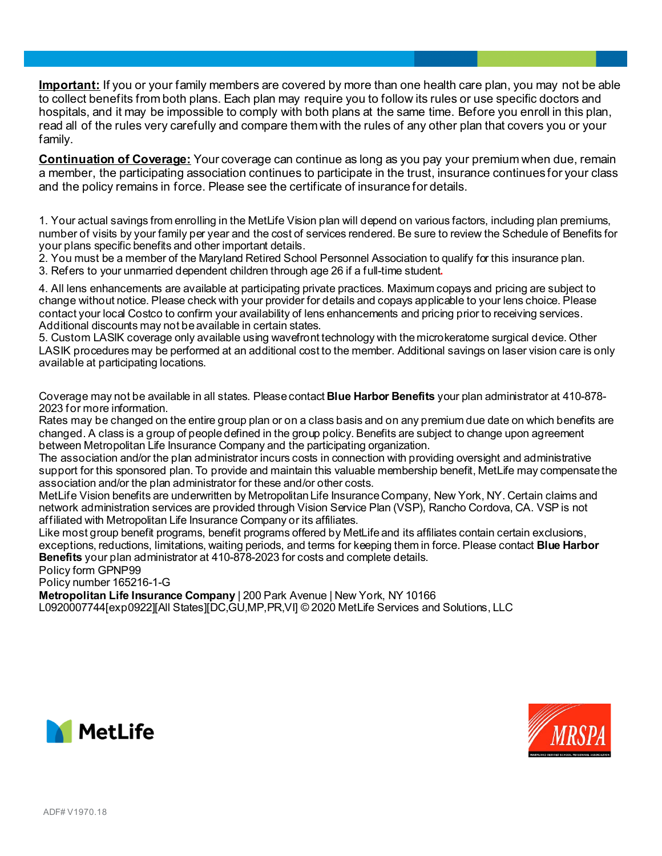**Important:** If you or your family members are covered by more than one health care plan, you may not be able to collect benefits from both plans. Each plan may require you to follow its rules or use specific doctors and hospitals, and it may be impossible to comply with both plans at the same time. Before you enroll in this plan, read all of the rules very carefully and compare them with the rules of any other plan that covers you or your family.

**Continuation of Coverage:** Your coverage can continue as long as you pay your premium when due, remain a member, the participating association continues to participate in the trust, insurance continues for your class and the policy remains in force. Please see the certificate of insurance for details.

1. Your actual savings from enrolling in the MetLife Vision plan will depend on various factors, including plan premiums, number of visits by your family per year and the cost of services rendered. Be sure to review the Schedule of Benefits for your plans specific benefits and other important details.

2. You must be a member of the Maryland Retired School Personnel Association to qualify for this insurance plan.

3. Refers to your unmarried dependent children through age 26 if a full-time student**.**

4. All lens enhancements are available at participating private practices. Maximum copays and pricing are subject to change without notice. Please check with your provider for details and copays applicable to your lens choice. Please contact your local Costco to confirm your availability of lens enhancements and pricing prior to receiving services. Additional discounts may not be available in certain states.

5. Custom LASIK coverage only available using wavefront technology with the microkeratome surgical device. Other LASIK procedures may be performed at an additional cost to the member. Additional savings on laser vision care is only available at participating locations.

Coverage may not be available in all states. Please contact **Blue Harbor Benefits** your plan administrator at 410-878- 2023 for more information.

Rates may be changed on the entire group plan or on a class basis and on any premium due date on which benefits are changed. A class is a group of people defined in the group policy. Benefits are subject to change upon agreement between Metropolitan Life Insurance Company and the participating organization.

The association and/or the plan administrator incurs costs in connection with providing oversight and administrative support for this sponsored plan. To provide and maintain this valuable membership benefit, MetLife may compensate the association and/or the plan administrator for these and/or other costs.

MetLife Vision benefits are underwritten by Metropolitan Life Insurance Company, New York, NY. Certain claims and network administration services are provided through Vision Service Plan (VSP), Rancho Cordova, CA. VSP is not affiliated with Metropolitan Life Insurance Company or its affiliates.

Like most group benefit programs, benefit programs offered by MetLife and its affiliates contain certain exclusions, exceptions, reductions, limitations, waiting periods, and terms for keeping them in force. Please contact **Blue Harbor Benefits** your plan administrator at 410-878-2023 for costs and complete details.

Policy form GPNP99

Policy number 165216-1-G

**Metropolitan Life Insurance Company** | 200 Park Avenue | New York, NY 10166 L0920007744[exp0922][All States][DC,GU,MP,PR,VI] © 2020 MetLife Services and Solutions, LLC



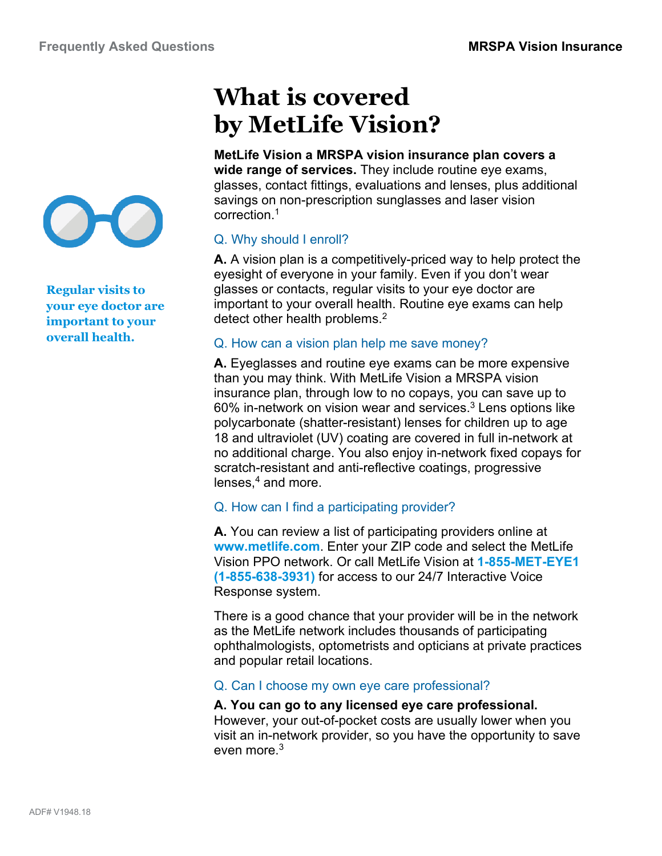

**Regular visits to your eye doctor are important to your overall health.**

# **What is covered by MetLife Vision?**

**MetLife Vision a MRSPA vision insurance plan covers a wide range of services.** They include routine eye exams, glasses, contact fittings, evaluations and lenses, plus additional savings on non-prescription sunglasses and laser vision correction.1

## Q. Why should I enroll?

**A.** A vision plan is a competitively-priced way to help protect the eyesight of everyone in your family. Even if you don't wear glasses or contacts, regular visits to your eye doctor are important to your overall health. Routine eye exams can help detect other health problems.<sup>2</sup>

## Q. How can a vision plan help me save money?

**A.** Eyeglasses and routine eye exams can be more expensive than you may think. With MetLife Vision a MRSPA vision insurance plan, through low to no copays, you can save up to 60% in-network on vision wear and services. $3$  Lens options like polycarbonate (shatter-resistant) lenses for children up to age 18 and ultraviolet (UV) coating are covered in full in-network at no additional charge. You also enjoy in-network fixed copays for scratch-resistant and anti-reflective coatings, progressive lenses. $4$  and more.

## Q. How can I find a participating provider?

**A.** You can review a list of participating providers online at **www.metlife.com**. Enter your ZIP code and select the MetLife Vision PPO network. Or call MetLife Vision at **1-855-MET-EYE1 (1-855-638-3931)** for access to our 24/7 Interactive Voice Response system.

There is a good chance that your provider will be in the network as the MetLife network includes thousands of participating ophthalmologists, optometrists and opticians at private practices and popular retail locations.

## Q. Can I choose my own eye care professional?

## **A. You can go to any licensed eye care professional.** However, your out-of-pocket costs are usually lower when you visit an in-network provider, so you have the opportunity to save even more. 3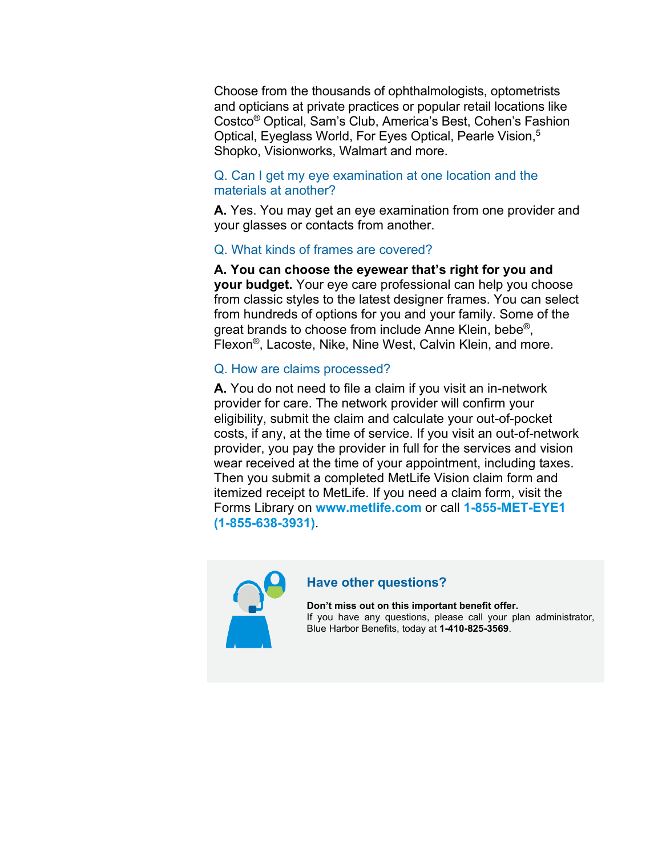Choose from the thousands of ophthalmologists, optometrists and opticians at private practices or popular retail locations like Costco® Optical, Sam's Club, America's Best, Cohen's Fashion Optical, Eyeglass World, For Eyes Optical, Pearle Vision,<sup>5</sup> Shopko, Visionworks, Walmart and more.

## Q. Can I get my eye examination at one location and the materials at another?

**A.** Yes. You may get an eye examination from one provider and your glasses or contacts from another.

## Q. What kinds of frames are covered?

**A. You can choose the eyewear that's right for you and your budget.** Your eye care professional can help you choose from classic styles to the latest designer frames. You can select from hundreds of options for you and your family. Some of the great brands to choose from include Anne Klein, bebe<sup>®</sup>, Flexon®, Lacoste, Nike, Nine West, Calvin Klein, and more.

## Q. How are claims processed?

**A.** You do not need to file a claim if you visit an in-network provider for care. The network provider will confirm your eligibility, submit the claim and calculate your out-of-pocket costs, if any, at the time of service. If you visit an out-of-network provider, you pay the provider in full for the services and vision wear received at the time of your appointment, including taxes. Then you submit a completed MetLife Vision claim form and itemized receipt to MetLife. If you need a claim form, visit the Forms Library on **www.metlife.com** or call **1-855-MET-EYE1 (1-855-638-3931)**.



#### **Have other questions?**

**Don't miss out on this important benefit offer.**  If you have any questions, please call your plan administrator, Blue Harbor Benefits, today at **1-410-825-3569**.